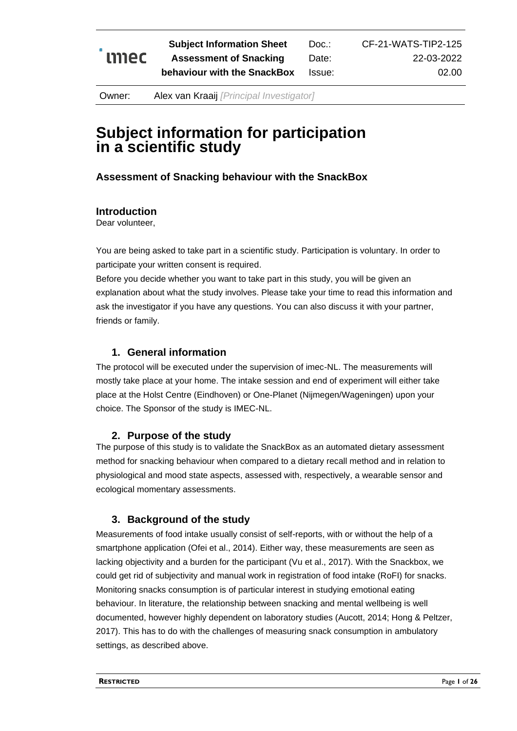

CF-21-WATS-TIP2-125 22-03-2022 02.00

Owner: Alex van Kraaij *[Principal Investigator]*

# **Subject information for participation in a scientific study**

# **Assessment of Snacking behaviour with the SnackBox**

#### **Introduction**

Dear volunteer,

You are being asked to take part in a scientific study. Participation is voluntary. In order to participate your written consent is required.

Before you decide whether you want to take part in this study, you will be given an explanation about what the study involves. Please take your time to read this information and ask the investigator if you have any questions. You can also discuss it with your partner, friends or family.

#### **1. General information**

The protocol will be executed under the supervision of imec-NL. The measurements will mostly take place at your home. The intake session and end of experiment will either take place at the Holst Centre (Eindhoven) or One-Planet (Nijmegen/Wageningen) upon your choice. The Sponsor of the study is IMEC-NL.

# **2. Purpose of the study**

The purpose of this study is to validate the SnackBox as an automated dietary assessment method for snacking behaviour when compared to a dietary recall method and in relation to physiological and mood state aspects, assessed with, respectively, a wearable sensor and ecological momentary assessments.

# **3. Background of the study**

Measurements of food intake usually consist of self-reports, with or without the help of a smartphone application (Ofei et al., 2014). Either way, these measurements are seen as lacking objectivity and a burden for the participant (Vu et al., 2017). With the Snackbox, we could get rid of subjectivity and manual work in registration of food intake (RoFI) for snacks. Monitoring snacks consumption is of particular interest in studying emotional eating behaviour. In literature, the relationship between snacking and mental wellbeing is well documented, however highly dependent on laboratory studies (Aucott, 2014; Hong & Peltzer, 2017). This has to do with the challenges of measuring snack consumption in ambulatory settings, as described above.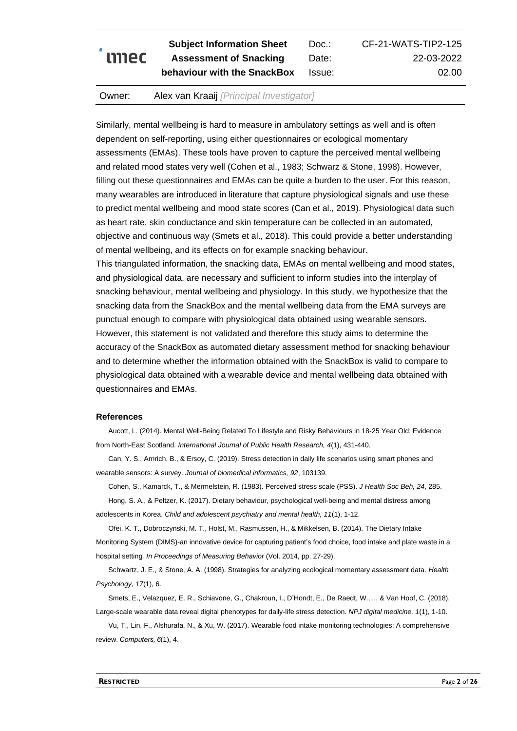# mec

**Subject Information Sheet Assessment of Snacking behaviour with the SnackBox** Doc.: Date: Issue: CF-21-WATS-TIP2-125 22-03-2022 02.00

#### Owner: Alex van Kraaij *[Principal Investigator]*

Similarly, mental wellbeing is hard to measure in ambulatory settings as well and is often dependent on self-reporting, using either questionnaires or ecological momentary assessments (EMAs). These tools have proven to capture the perceived mental wellbeing and related mood states very well (Cohen et al., 1983; Schwarz & Stone, 1998). However, filling out these questionnaires and EMAs can be quite a burden to the user. For this reason, many wearables are introduced in literature that capture physiological signals and use these to predict mental wellbeing and mood state scores (Can et al., 2019). Physiological data such as heart rate, skin conductance and skin temperature can be collected in an automated, objective and continuous way (Smets et al., 2018). This could provide a better understanding of mental wellbeing, and its effects on for example snacking behaviour.

This triangulated information, the snacking data, EMAs on mental wellbeing and mood states, and physiological data, are necessary and sufficient to inform studies into the interplay of snacking behaviour, mental wellbeing and physiology. In this study, we hypothesize that the snacking data from the SnackBox and the mental wellbeing data from the EMA surveys are punctual enough to compare with physiological data obtained using wearable sensors. However, this statement is not validated and therefore this study aims to determine the accuracy of the SnackBox as automated dietary assessment method for snacking behaviour and to determine whether the information obtained with the SnackBox is valid to compare to physiological data obtained with a wearable device and mental wellbeing data obtained with questionnaires and EMAs.

#### **References**

Aucott, L. (2014). Mental Well-Being Related To Lifestyle and Risky Behaviours in 18-25 Year Old: Evidence from North-East Scotland. *International Journal of Public Health Research, 4*(1), 431-440.

Can, Y. S., Arnrich, B., & Ersoy, C. (2019). Stress detection in daily life scenarios using smart phones and wearable sensors: A survey. *Journal of biomedical informatics, 92*, 103139.

Cohen, S., Kamarck, T., & Mermelstein, R. (1983). Perceived stress scale (PSS). *J Health Soc Beh, 24*, 285.

Hong, S. A., & Peltzer, K. (2017). Dietary behaviour, psychological well-being and mental distress among

adolescents in Korea. *Child and adolescent psychiatry and mental health, 11*(1), 1-12.

Ofei, K. T., Dobroczynski, M. T., Holst, M., Rasmussen, H., & Mikkelsen, B. (2014). The Dietary Intake Monitoring System (DIMS)-an innovative device for capturing patient's food choice, food intake and plate waste in a hospital setting*. In Proceedings of Measuring Behavior* (Vol. 2014, pp. 27-29).

Schwartz, J. E., & Stone, A. A. (1998). Strategies for analyzing ecological momentary assessment data. *Health Psychology, 17*(1), 6.

Smets, E., Velazquez, E. R., Schiavone, G., Chakroun, I., D'Hondt, E., De Raedt, W., ... & Van Hoof, C. (2018). Large-scale wearable data reveal digital phenotypes for daily-life stress detection. *NPJ digital medicine, 1*(1), 1-10.

Vu, T., Lin, F., Alshurafa, N., & Xu, W. (2017). Wearable food intake monitoring technologies: A comprehensive review.*Computers, 6*(1), 4.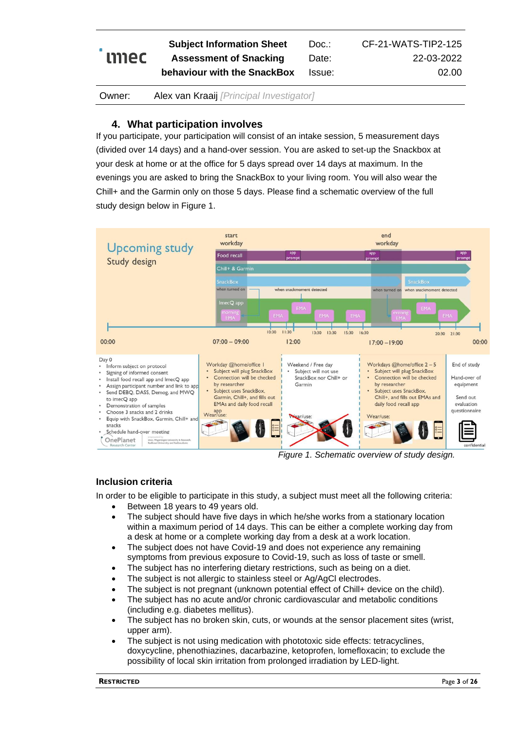# mec

**Subject Information Sheet Assessment of Snacking behaviour with the SnackBox** Doc.: Date: Issue: CF-21-WATS-TIP2-125 22-03-2022 02.00

Owner: Alex van Kraaij *[Principal Investigator]*

### **4. What participation involves**

If you participate, your participation will consist of an intake session, 5 measurement days (divided over 14 days) and a hand-over session. You are asked to set-up the Snackbox at your desk at home or at the office for 5 days spread over 14 days at maximum. In the evenings you are asked to bring the SnackBox to your living room. You will also wear the Chill+ and the Garmin only on those 5 days. Please find a schematic overview of the full study design below in Figure 1.



*Figure 1. Schematic overview of study design.*

#### **Inclusion criteria**

In order to be eligible to participate in this study, a subject must meet all the following criteria:

- Between 18 years to 49 years old.
- The subject should have five days in which he/she works from a stationary location within a maximum period of 14 days. This can be either a complete working day from a desk at home or a complete working day from a desk at a work location.
- The subject does not have Covid-19 and does not experience any remaining symptoms from previous exposure to Covid-19, such as loss of taste or smell.
- The subject has no interfering dietary restrictions, such as being on a diet.
- The subject is not allergic to stainless steel or Ag/AgCl electrodes.
- The subject is not pregnant (unknown potential effect of Chill+ device on the child).
- The subject has no acute and/or chronic cardiovascular and metabolic conditions (including e.g. diabetes mellitus).
- The subject has no broken skin, cuts, or wounds at the sensor placement sites (wrist, upper arm).
- The subject is not using medication with phototoxic side effects: tetracyclines, doxycycline, phenothiazines, dacarbazine, ketoprofen, lomefloxacin; to exclude the possibility of local skin irritation from prolonged irradiation by LED-light.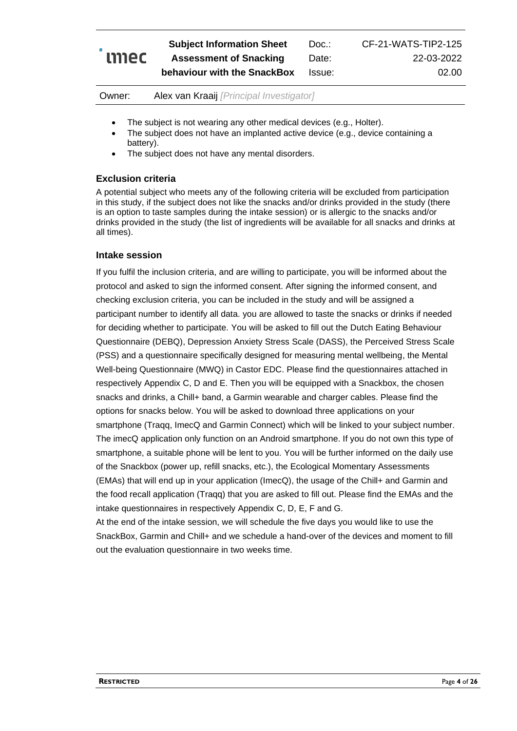

| Owner: | <b>Alex van Kraaij</b> [Principal Investigator] |  |  |  |
|--------|-------------------------------------------------|--|--|--|
|--------|-------------------------------------------------|--|--|--|

- The subject is not wearing any other medical devices (e.g., Holter).
- The subject does not have an implanted active device (e.g., device containing a battery).
- The subject does not have any mental disorders.

#### **Exclusion criteria**

A potential subject who meets any of the following criteria will be excluded from participation in this study, if the subject does not like the snacks and/or drinks provided in the study (there is an option to taste samples during the intake session) or is allergic to the snacks and/or drinks provided in the study (the list of ingredients will be available for all snacks and drinks at all times).

#### **Intake session**

If you fulfil the inclusion criteria, and are willing to participate, you will be informed about the protocol and asked to sign the informed consent. After signing the informed consent, and checking exclusion criteria, you can be included in the study and will be assigned a participant number to identify all data. you are allowed to taste the snacks or drinks if needed for deciding whether to participate. You will be asked to fill out the Dutch Eating Behaviour Questionnaire (DEBQ), Depression Anxiety Stress Scale (DASS), the Perceived Stress Scale (PSS) and a questionnaire specifically designed for measuring mental wellbeing, the Mental Well-being Questionnaire (MWQ) in Castor EDC. Please find the questionnaires attached in respectively Appendix C, D and E. Then you will be equipped with a Snackbox, the chosen snacks and drinks, a Chill+ band, a Garmin wearable and charger cables. Please find the options for snacks below. You will be asked to download three applications on your smartphone (Traqq, ImecQ and Garmin Connect) which will be linked to your subject number. The imecQ application only function on an Android smartphone. If you do not own this type of smartphone, a suitable phone will be lent to you. You will be further informed on the daily use of the Snackbox (power up, refill snacks, etc.), the Ecological Momentary Assessments (EMAs) that will end up in your application (ImecQ), the usage of the Chill+ and Garmin and the food recall application (Traqq) that you are asked to fill out. Please find the EMAs and the intake questionnaires in respectively Appendix C, D, E, F and G.

At the end of the intake session, we will schedule the five days you would like to use the SnackBox, Garmin and Chill+ and we schedule a hand-over of the devices and moment to fill out the evaluation questionnaire in two weeks time.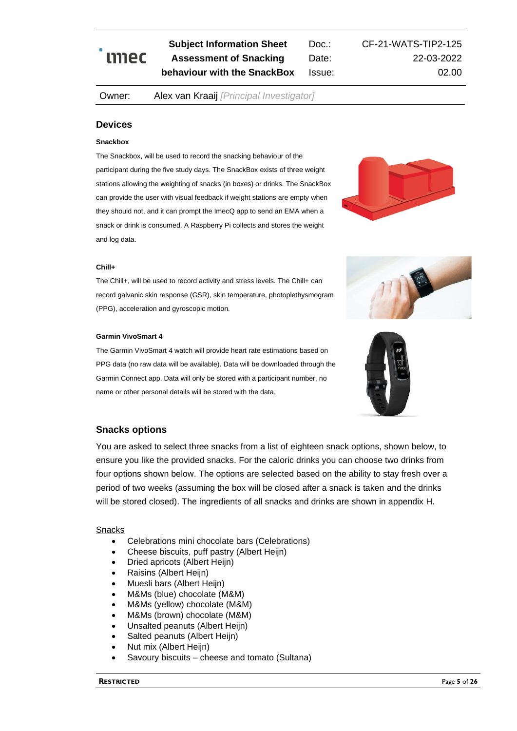Doc.: Date: Issue: CF-21-WATS-TIP2-125 22-03-2022 02.00

#### Owner: Alex van Kraaij *[Principal Investigator]*

#### **Devices**

#### **Snackbox**

The Snackbox, will be used to record the snacking behaviour of the participant during the five study days. The SnackBox exists of three weight stations allowing the weighting of snacks (in boxes) or drinks. The SnackBox can provide the user with visual feedback if weight stations are empty when they should not, and it can prompt the ImecQ app to send an EMA when a snack or drink is consumed. A Raspberry Pi collects and stores the weight and log data.



#### **Chill+**

The Chill+, will be used to record activity and stress levels. The Chill+ can record galvanic skin response (GSR), skin temperature, photoplethysmogram (PPG), acceleration and gyroscopic motion.

#### **Garmin VivoSmart 4**

The Garmin VivoSmart 4 watch will provide heart rate estimations based on PPG data (no raw data will be available). Data will be downloaded through the Garmin Connect app. Data will only be stored with a participant number, no name or other personal details will be stored with the data.





#### **Snacks options**

You are asked to select three snacks from a list of eighteen snack options, shown below, to ensure you like the provided snacks. For the caloric drinks you can choose two drinks from four options shown below. The options are selected based on the ability to stay fresh over a period of two weeks (assuming the box will be closed after a snack is taken and the drinks will be stored closed). The ingredients of all snacks and drinks are shown in appendix H.

#### Snacks

- Celebrations mini chocolate bars (Celebrations)
- Cheese biscuits, puff pastry (Albert Heijn)
- Dried apricots (Albert Heijn)
- Raisins (Albert Heijn)
- Muesli bars (Albert Heijn)
- M&Ms (blue) chocolate (M&M)
- M&Ms (yellow) chocolate (M&M)
- M&Ms (brown) chocolate (M&M)
- Unsalted peanuts (Albert Heijn)
- Salted peanuts (Albert Heijn)
- Nut mix (Albert Heijn)
- Savoury biscuits cheese and tomato (Sultana)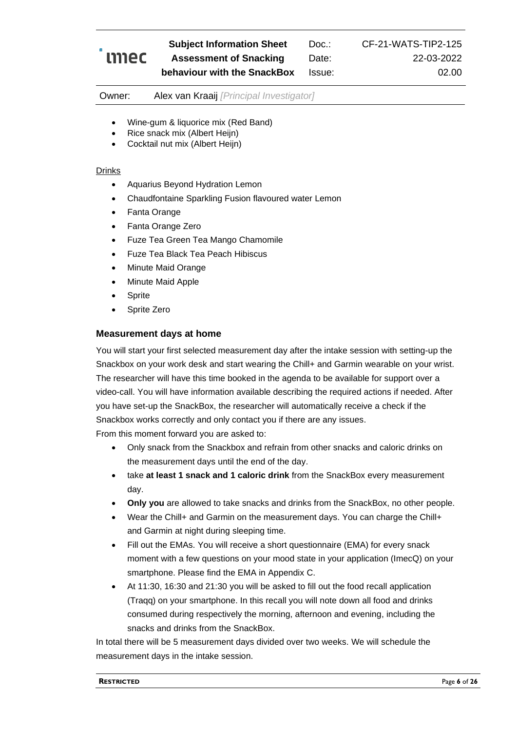

Doc.: Date: Issue: CF-21-WATS-TIP2-125 22-03-2022 02.00

Owner: Alex van Kraaij *[Principal Investigator]*

- Wine-gum & liquorice mix (Red Band)
- Rice snack mix (Albert Heijn)
- Cocktail nut mix (Albert Heijn)

# Drinks

- Aquarius Beyond Hydration Lemon
- Chaudfontaine Sparkling Fusion flavoured water Lemon
- Fanta Orange
- Fanta Orange Zero
- Fuze Tea Green Tea Mango Chamomile
- Fuze Tea Black Tea Peach Hibiscus
- Minute Maid Orange
- Minute Maid Apple
- **Sprite**
- Sprite Zero

# **Measurement days at home**

You will start your first selected measurement day after the intake session with setting-up the Snackbox on your work desk and start wearing the Chill+ and Garmin wearable on your wrist. The researcher will have this time booked in the agenda to be available for support over a video-call. You will have information available describing the required actions if needed. After you have set-up the SnackBox, the researcher will automatically receive a check if the Snackbox works correctly and only contact you if there are any issues.

From this moment forward you are asked to:

- Only snack from the Snackbox and refrain from other snacks and caloric drinks on the measurement days until the end of the day.
- take **at least 1 snack and 1 caloric drink** from the SnackBox every measurement day.
- **Only you** are allowed to take snacks and drinks from the SnackBox, no other people.
- Wear the Chill+ and Garmin on the measurement days. You can charge the Chill+ and Garmin at night during sleeping time.
- Fill out the EMAs. You will receive a short questionnaire (EMA) for every snack moment with a few questions on your mood state in your application (ImecQ) on your smartphone. Please find the EMA in Appendix C.
- At 11:30, 16:30 and 21:30 you will be asked to fill out the food recall application (Traqq) on your smartphone. In this recall you will note down all food and drinks consumed during respectively the morning, afternoon and evening, including the snacks and drinks from the SnackBox.

In total there will be 5 measurement days divided over two weeks. We will schedule the measurement days in the intake session.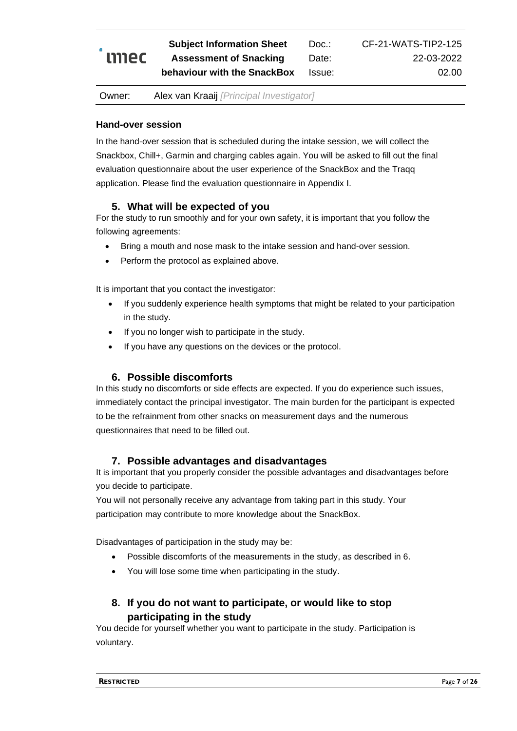

Doc.: Date: Issue:

Owner: Alex van Kraaij *[Principal Investigator]*

#### **Hand-over session**

In the hand-over session that is scheduled during the intake session, we will collect the Snackbox, Chill+, Garmin and charging cables again. You will be asked to fill out the final evaluation questionnaire about the user experience of the SnackBox and the Traqq application. Please find the evaluation questionnaire in Appendix I.

# **5. What will be expected of you**

For the study to run smoothly and for your own safety, it is important that you follow the following agreements:

- Bring a mouth and nose mask to the intake session and hand-over session.
- Perform the protocol as explained above.

It is important that you contact the investigator:

- If you suddenly experience health symptoms that might be related to your participation in the study.
- If you no longer wish to participate in the study.
- If you have any questions on the devices or the protocol.

# **6. Possible discomforts**

<span id="page-6-0"></span>In this study no discomforts or side effects are expected. If you do experience such issues, immediately contact the principal investigator. The main burden for the participant is expected to be the refrainment from other snacks on measurement days and the numerous questionnaires that need to be filled out.

# **7. Possible advantages and disadvantages**

It is important that you properly consider the possible advantages and disadvantages before you decide to participate.

You will not personally receive any advantage from taking part in this study. Your participation may contribute to more knowledge about the SnackBox.

Disadvantages of participation in the study may be:

- Possible discomforts of the measurements in the study, as described in [6.](#page-6-0)
- You will lose some time when participating in the study.

# **8. If you do not want to participate, or would like to stop participating in the study**

You decide for yourself whether you want to participate in the study. Participation is voluntary.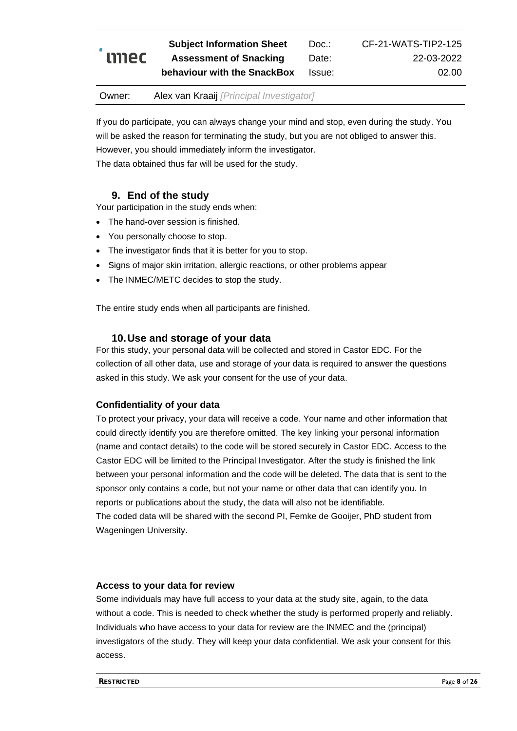

CF-21-WATS-TIP2-125 22-03-2022 02.00

Owner: Alex van Kraaij *[Principal Investigator]*

If you do participate, you can always change your mind and stop, even during the study. You will be asked the reason for terminating the study, but you are not obliged to answer this. However, you should immediately inform the investigator.

Doc.: Date: Issue:

The data obtained thus far will be used for the study.

#### **9. End of the study**

Your participation in the study ends when:

- The hand-over session is finished.
- You personally choose to stop.
- The investigator finds that it is better for you to stop.
- Signs of major skin irritation, allergic reactions, or other problems appear
- The INMEC/METC decides to stop the study.

The entire study ends when all participants are finished.

#### **10.Use and storage of your data**

For this study, your personal data will be collected and stored in Castor EDC. For the collection of all other data, use and storage of your data is required to answer the questions asked in this study. We ask your consent for the use of your data.

#### **Confidentiality of your data**

To protect your privacy, your data will receive a code. Your name and other information that could directly identify you are therefore omitted. The key linking your personal information (name and contact details) to the code will be stored securely in Castor EDC. Access to the Castor EDC will be limited to the Principal Investigator. After the study is finished the link between your personal information and the code will be deleted. The data that is sent to the sponsor only contains a code, but not your name or other data that can identify you. In reports or publications about the study, the data will also not be identifiable. The coded data will be shared with the second PI, Femke de Gooijer, PhD student from Wageningen University.

#### **Access to your data for review**

Some individuals may have full access to your data at the study site, again, to the data without a code. This is needed to check whether the study is performed properly and reliably. Individuals who have access to your data for review are the INMEC and the (principal) investigators of the study. They will keep your data confidential. We ask your consent for this access.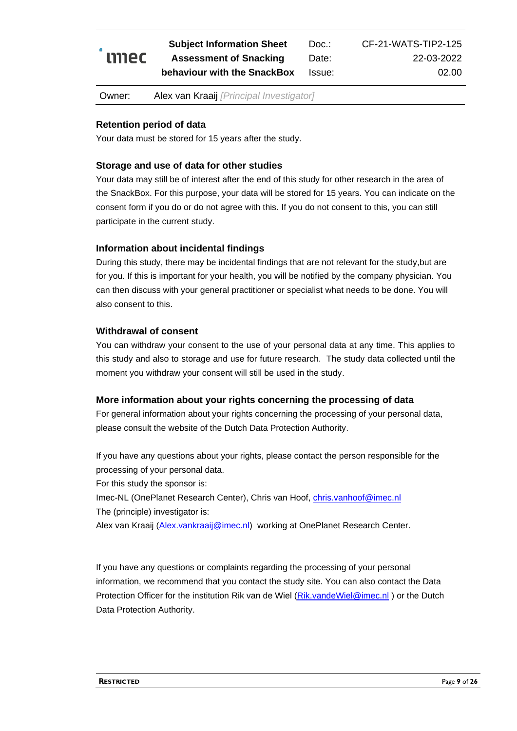

Doc.: Date: Issue: CF-21-WATS-TIP2-125

22-03-2022 02.00

Owner: Alex van Kraaij *[Principal Investigator]*

# **Retention period of data**

Your data must be stored for 15 years after the study.

# **Storage and use of data for other studies**

Your data may still be of interest after the end of this study for other research in the area of the SnackBox. For this purpose, your data will be stored for 15 years. You can indicate on the consent form if you do or do not agree with this. If you do not consent to this, you can still participate in the current study.

# **Information about incidental findings**

During this study, there may be incidental findings that are not relevant for the study,but are for you. If this is important for your health, you will be notified by the company physician. You can then discuss with your general practitioner or specialist what needs to be done. You will also consent to this.

# **Withdrawal of consent**

You can withdraw your consent to the use of your personal data at any time. This applies to this study and also to storage and use for future research. The study data collected until the moment you withdraw your consent will still be used in the study.

# **More information about your rights concerning the processing of data**

For general information about your rights concerning the processing of your personal data, please consult the website of the Dutch Data Protection Authority.

If you have any questions about your rights, please contact the person responsible for the processing of your personal data.

For this study the sponsor is:

Imec-NL (OnePlanet Research Center), Chris van Hoof, [chris.vanhoof@imec.nl](mailto:chris.vanhoof@imec.nl) The (principle) investigator is:

Alex van Kraaij [\(Alex.vankraaij@imec.nl\)](mailto:Alex.vankraaij@imec.nl) working at OnePlanet Research Center.

If you have any questions or complaints regarding the processing of your personal information, we recommend that you contact the study site. You can also contact the Data Protection Officer for the institution Rik van de Wiel [\(Rik.vandeWiel@imec.nl](mailto:Rik.vandeWiel@imec.nl)) or the Dutch Data Protection Authority.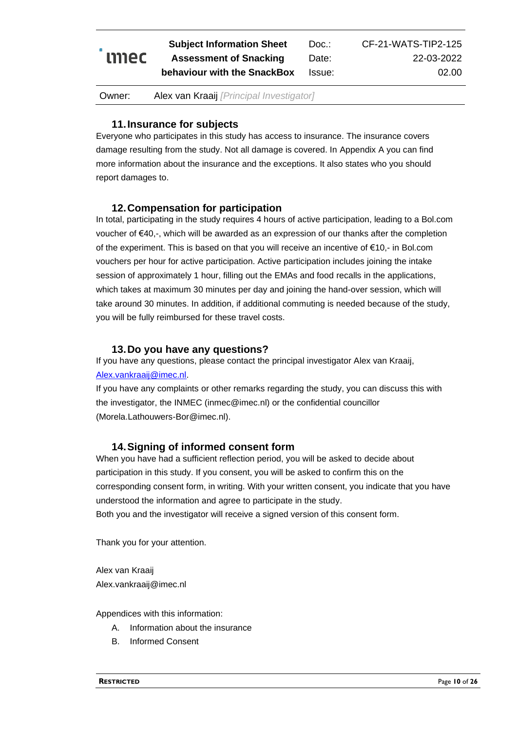# mec

**Subject Information Sheet Assessment of Snacking behaviour with the SnackBox**

Doc.: Date: Issue: CF-21-WATS-TIP2-125 22-03-2022 02.00

Owner: Alex van Kraaij *[Principal Investigator]*

# **11.Insurance for subjects**

Everyone who participates in this study has access to insurance. The insurance covers damage resulting from the study. Not all damage is covered. In Appendix A you can find more information about the insurance and the exceptions. It also states who you should report damages to.

# **12.Compensation for participation**

In total, participating in the study requires 4 hours of active participation, leading to a Bol.com voucher of €40,-, which will be awarded as an expression of our thanks after the completion of the experiment. This is based on that you will receive an incentive of €10,- in Bol.com vouchers per hour for active participation. Active participation includes joining the intake session of approximately 1 hour, filling out the EMAs and food recalls in the applications, which takes at maximum 30 minutes per day and joining the hand-over session, which will take around 30 minutes. In addition, if additional commuting is needed because of the study, you will be fully reimbursed for these travel costs.

# **13.Do you have any questions?**

If you have any questions, please contact the principal investigator Alex van Kraaij, [Alex.vankraaij@imec.nl.](mailto:Alex.vankraaij@imec.nl)

If you have any complaints or other remarks regarding the study, you can discuss this with the investigator, the INMEC (inmec@imec.nl) or the confidential councillor (Morela.Lathouwers-Bor@imec.nl).

# **14.Signing of informed consent form**

When you have had a sufficient reflection period, you will be asked to decide about participation in this study. If you consent, you will be asked to confirm this on the corresponding consent form, in writing. With your written consent, you indicate that you have understood the information and agree to participate in the study. Both you and the investigator will receive a signed version of this consent form.

Thank you for your attention.

Alex van Kraaij Alex.vankraaij@imec.nl

Appendices with this information:

- A. Information about the insurance
- B. Informed Consent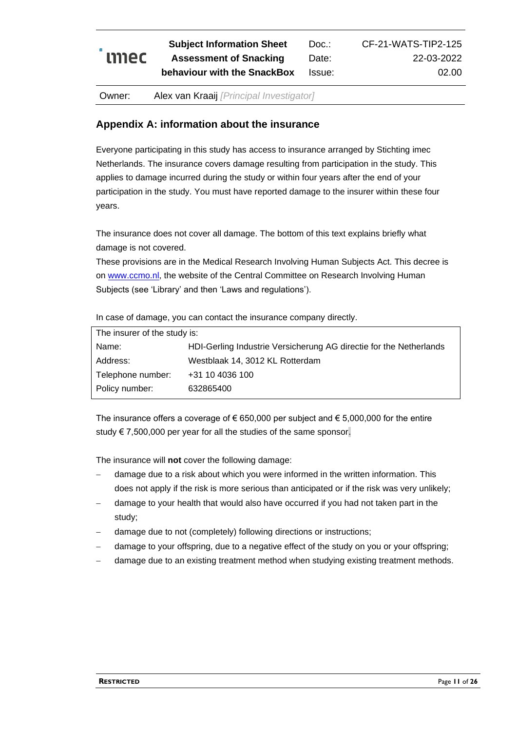

CF-21-WATS-TIP2-125 22-03-2022 02.00

Owner: Alex van Kraaij *[Principal Investigator]*

### **Appendix A: information about the insurance**

Everyone participating in this study has access to insurance arranged by Stichting imec Netherlands. The insurance covers damage resulting from participation in the study. This applies to damage incurred during the study or within four years after the end of your participation in the study. You must have reported damage to the insurer within these four years.

The insurance does not cover all damage. The bottom of this text explains briefly what damage is not covered.

These provisions are in the Medical Research Involving Human Subjects Act. This decree is on [www.ccmo.nl,](http://www.ccmo.nl/) the website of the Central Committee on Research Involving Human Subjects (see 'Library' and then 'Laws and regulations').

In case of damage, you can contact the insurance company directly.

| The insurer of the study is: |                                                                    |  |  |  |  |  |
|------------------------------|--------------------------------------------------------------------|--|--|--|--|--|
| Name:                        | HDI-Gerling Industrie Versicherung AG directie for the Netherlands |  |  |  |  |  |
| Address:                     | Westblaak 14, 3012 KL Rotterdam                                    |  |  |  |  |  |
| Telephone number:            | +31 10 4036 100                                                    |  |  |  |  |  |
| Policy number:               | 632865400                                                          |  |  |  |  |  |
|                              |                                                                    |  |  |  |  |  |

The insurance offers a coverage of  $\epsilon$  650,000 per subject and  $\epsilon$  5,000,000 for the entire study € 7,500,000 per year for all the studies of the same sponsor.

The insurance will **not** cover the following damage:

- damage due to a risk about which you were informed in the written information. This does not apply if the risk is more serious than anticipated or if the risk was very unlikely;
- − damage to your health that would also have occurred if you had not taken part in the study;
- damage due to not (completely) following directions or instructions;
- − damage to your offspring, due to a negative effect of the study on you or your offspring;
- damage due to an existing treatment method when studying existing treatment methods.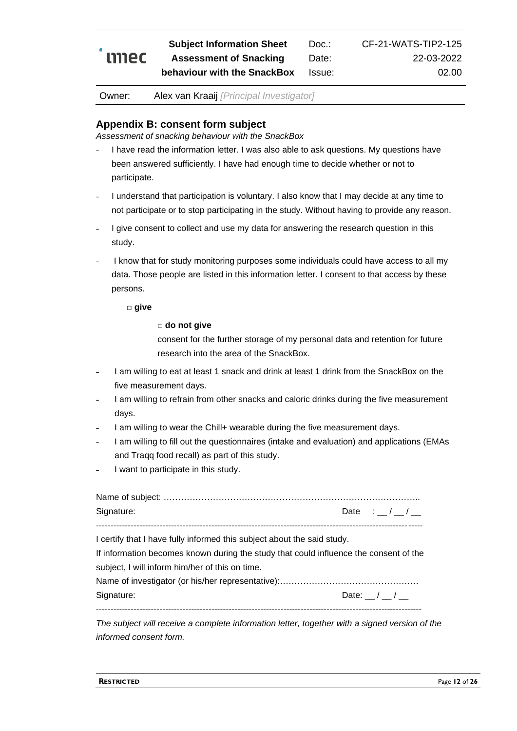

Doc.: Date: Issue: CF-21-WATS-TIP2-125 22-03-2022

02.00

Owner: Alex van Kraaij *[Principal Investigator]*

#### **Appendix B: consent form subject**

*Assessment of snacking behaviour with the SnackBox*

- I have read the information letter. I was also able to ask questions. My questions have been answered sufficiently. I have had enough time to decide whether or not to participate.
- I understand that participation is voluntary. I also know that I may decide at any time to not participate or to stop participating in the study. Without having to provide any reason.
- I give consent to collect and use my data for answering the research question in this study.
- I know that for study monitoring purposes some individuals could have access to all my data. Those people are listed in this information letter. I consent to that access by these persons.

□ **give**

#### □ **do not give**

consent for the further storage of my personal data and retention for future research into the area of the SnackBox.

- I am willing to eat at least 1 snack and drink at least 1 drink from the SnackBox on the five measurement days.
- I am willing to refrain from other snacks and caloric drinks during the five measurement days.
- I am willing to wear the Chill+ wearable during the five measurement days.
- I am willing to fill out the questionnaires (intake and evaluation) and applications (EMAs and Traqq food recall) as part of this study.
- I want to participate in this study.

| Signature:                                                                                    | Date : $/$ $/$ $/$ $/$              |
|-----------------------------------------------------------------------------------------------|-------------------------------------|
| I certify that I have fully informed this subject about the said study.                       |                                     |
| If information becomes known during the study that could influence the consent of the         |                                     |
| subject, I will inform him/her of this on time.                                               |                                     |
|                                                                                               |                                     |
| Signature:                                                                                    | Date: $\frac{1}{2}$ / $\frac{1}{2}$ |
| The subject will receive a complete information letter, together with a signed version of the |                                     |

*informed consent form.*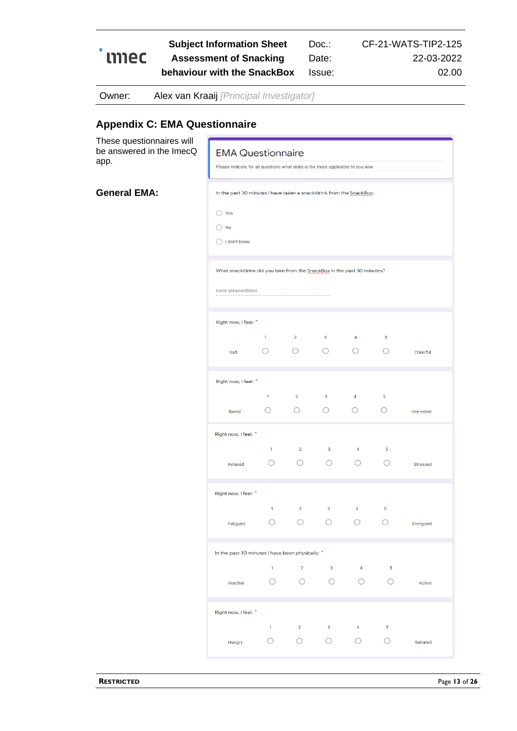

Doc.: Date: Issue:

CF-21-WATS-TIP2-125 22-03-2022 02.00

Owner: Alex van Kraaij *[Principal Investigator]*

# **Appendix C: EMA Questionnaire**

These questionnaires will be answered in the ImecQ app.

**General EMA:**

|                                                                         | Please indicate for all questions what state is the most applicable to you now. |                |                         |                         |                         |            |  |
|-------------------------------------------------------------------------|---------------------------------------------------------------------------------|----------------|-------------------------|-------------------------|-------------------------|------------|--|
| In the past 30 minutes I have taken a snack/drink from the SnackBox:    |                                                                                 |                |                         |                         |                         |            |  |
| ) Yes                                                                   |                                                                                 |                |                         |                         |                         |            |  |
| <b>No</b>                                                               |                                                                                 |                |                         |                         |                         |            |  |
| I don't know                                                            |                                                                                 |                |                         |                         |                         |            |  |
|                                                                         |                                                                                 |                |                         |                         |                         |            |  |
| What snack/drink did you take from the SnackBox in the past 30 minutes? |                                                                                 |                |                         |                         |                         |            |  |
| Korte antwoordtekst                                                     |                                                                                 |                |                         |                         |                         |            |  |
| Right now, I feel: *                                                    |                                                                                 |                |                         |                         |                         |            |  |
|                                                                         | 1                                                                               | $\overline{2}$ | $\overline{\mathbf{3}}$ | $\overline{4}$          | 5                       |            |  |
| Sad                                                                     | $($ )                                                                           | $\circ$        | $\bigcirc$              | O                       | $\bigcirc$              | Cheerful   |  |
| Right now, I feel: *                                                    |                                                                                 |                |                         |                         |                         |            |  |
|                                                                         | 1                                                                               | $\overline{2}$ | 3                       | 4                       | 5                       |            |  |
| <b>Bored</b>                                                            |                                                                                 | O              | O                       | O                       | ◯                       | Interested |  |
| Right now, I feel: *                                                    |                                                                                 |                |                         |                         |                         |            |  |
|                                                                         | 1                                                                               | $\overline{2}$ | $\mathbf{3}$            | $\overline{4}$          | 5                       |            |  |
| Relaxed                                                                 | ()                                                                              | ◯              | $\bigcirc$              | $\left( \quad \right)$  | $\bigcirc$              | Stressed   |  |
| Right now, I feel: *                                                    |                                                                                 |                |                         |                         |                         |            |  |
|                                                                         | 1                                                                               | $\overline{2}$ | 3                       | 4                       | 5                       |            |  |
| Fatigued                                                                |                                                                                 |                | $($ )                   |                         | $\sqrt{2}$              | Energized  |  |
| In the past 30 minutes I have been physically: *                        |                                                                                 |                |                         |                         |                         |            |  |
|                                                                         | 1                                                                               | $\overline{2}$ | $\overline{\mathbf{3}}$ | $\overline{\mathbf{4}}$ | $\overline{\mathbf{5}}$ |            |  |
| Inactive                                                                | 0                                                                               | 0              | $\bigcirc$              | O                       | ◯                       | Active     |  |
| Right now, I feel: *                                                    |                                                                                 |                |                         |                         |                         |            |  |
|                                                                         | $\mathbf{1}$                                                                    | $2^{\circ}$    | 3 <sup>1</sup>          | $\overline{4}$          | $\overline{\mathbf{5}}$ |            |  |
|                                                                         | O                                                                               | $\circ$        | $\circ$                 | $\circ$                 | $\bigcirc$              |            |  |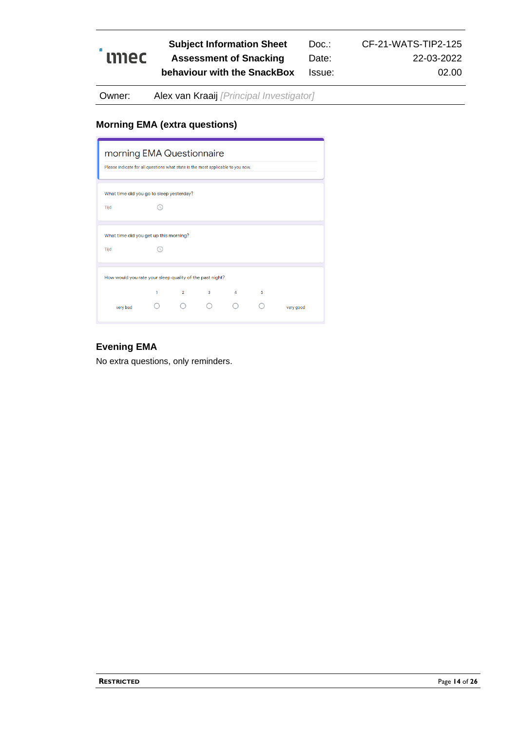

CF-21-WATS-TIP2-125 22-03-2022 02.00

Owner: Alex van Kraaij *[Principal Investigator]*

#### **Morning EMA (extra questions)**

| morning EMA Questionnaire                |                                                                                 |                |   |   |   |           |  |  |  |
|------------------------------------------|---------------------------------------------------------------------------------|----------------|---|---|---|-----------|--|--|--|
|                                          | Please indicate for all questions what state is the most applicable to you now. |                |   |   |   |           |  |  |  |
|                                          |                                                                                 |                |   |   |   |           |  |  |  |
| What time did you go to sleep yesterday? |                                                                                 |                |   |   |   |           |  |  |  |
| Tijd                                     |                                                                                 |                |   |   |   |           |  |  |  |
|                                          |                                                                                 |                |   |   |   |           |  |  |  |
| What time did you get up this morning?   |                                                                                 |                |   |   |   |           |  |  |  |
| Tijd                                     |                                                                                 |                |   |   |   |           |  |  |  |
|                                          |                                                                                 |                |   |   |   |           |  |  |  |
|                                          | How would you rate your sleep quality of the past night?                        |                |   |   |   |           |  |  |  |
|                                          | 1                                                                               | $\overline{2}$ | 3 | Δ | 5 |           |  |  |  |
| very bad                                 |                                                                                 |                |   |   |   | very good |  |  |  |

# **Evening EMA**

No extra questions, only reminders.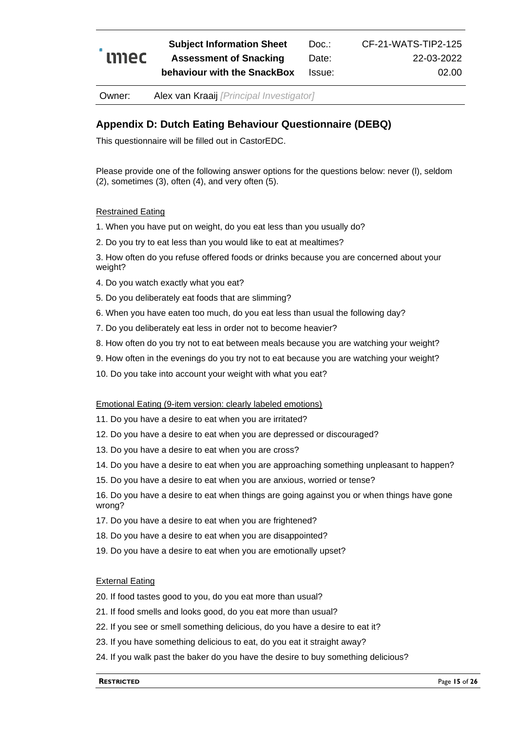

CF-21-WATS-TIP2-125 22-03-2022 02.00

Owner: Alex van Kraaij *[Principal Investigator]*

#### **Appendix D: Dutch Eating Behaviour Questionnaire (DEBQ)**

This questionnaire will be filled out in CastorEDC.

Please provide one of the following answer options for the questions below: never (l), seldom (2), sometimes (3), often (4), and very often (5).

#### Restrained Eating

1. When you have put on weight, do you eat less than you usually do?

2. Do you try to eat less than you would like to eat at mealtimes?

3. How often do you refuse offered foods or drinks because you are concerned about your weight?

- 4. Do you watch exactly what you eat?
- 5. Do you deliberately eat foods that are slimming?
- 6. When you have eaten too much, do you eat less than usual the following day?
- 7. Do you deliberately eat less in order not to become heavier?
- 8. How often do you try not to eat between meals because you are watching your weight?
- 9. How often in the evenings do you try not to eat because you are watching your weight?
- 10. Do you take into account your weight with what you eat?

Emotional Eating (9-item version: clearly labeled emotions)

- 11. Do you have a desire to eat when you are irritated?
- 12. Do you have a desire to eat when you are depressed or discouraged?
- 13. Do you have a desire to eat when you are cross?
- 14. Do you have a desire to eat when you are approaching something unpleasant to happen?
- 15. Do you have a desire to eat when you are anxious, worried or tense?

16. Do you have a desire to eat when things are going against you or when things have gone wrong?

- 17. Do you have a desire to eat when you are frightened?
- 18. Do you have a desire to eat when you are disappointed?
- 19. Do you have a desire to eat when you are emotionally upset?

#### External Eating

- 20. If food tastes good to you, do you eat more than usual?
- 21. If food smells and looks good, do you eat more than usual?
- 22. If you see or smell something delicious, do you have a desire to eat it?
- 23. If you have something delicious to eat, do you eat it straight away?
- 24. If you walk past the baker do you have the desire to buy something delicious?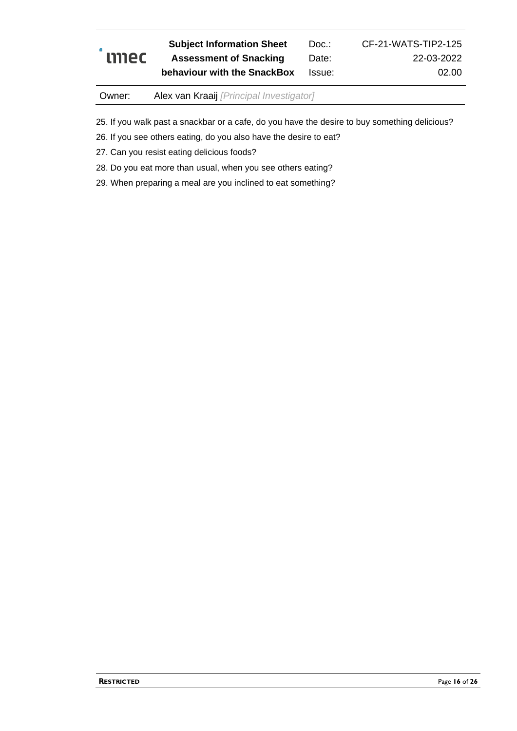

Owner: Alex van Kraaij *[Principal Investigator]*

25. If you walk past a snackbar or a cafe, do you have the desire to buy something delicious?

Doc.: Date: Issue:

26. If you see others eating, do you also have the desire to eat?

27. Can you resist eating delicious foods?

- 28. Do you eat more than usual, when you see others eating?
- 29. When preparing a meal are you inclined to eat something?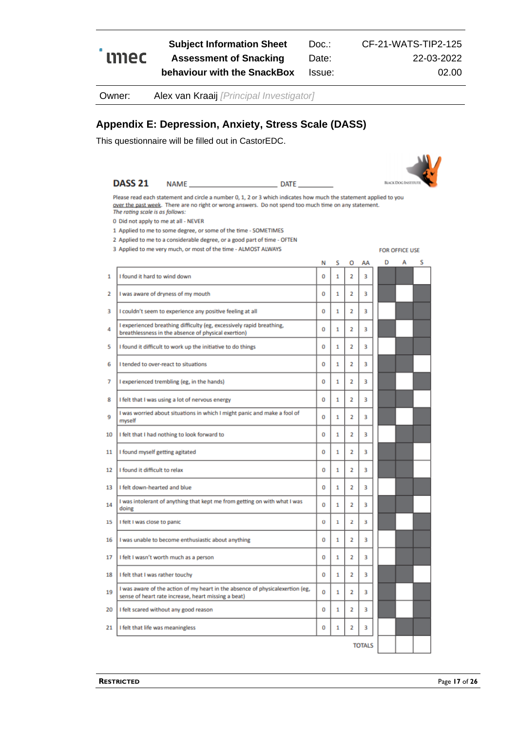CF-21-WATS-TIP2-125 22-03-2022 02.00

Owner: Alex van Kraaij *[Principal Investigator]*

# **Appendix E: Depression, Anxiety, Stress Scale (DASS)**

This questionnaire will be filled out in CastorEDC.

|                | <b>DASS 21</b>                  |                                                                                                                                                                                                                                                                                                                                                                                                                   |  |          |              |                |    |   | <b>BLACK DOG INSTITUTE</b> |   |  |
|----------------|---------------------------------|-------------------------------------------------------------------------------------------------------------------------------------------------------------------------------------------------------------------------------------------------------------------------------------------------------------------------------------------------------------------------------------------------------------------|--|----------|--------------|----------------|----|---|----------------------------|---|--|
|                | The rating scale is as follows: | Please read each statement and circle a number 0, 1, 2 or 3 which indicates how much the statement applied to you<br>over the past week. There are no right or wrong answers. Do not spend too much time on any statement.<br>0 Did not apply to me at all - NEVER<br>1 Applied to me to some degree, or some of the time - SOMETIMES<br>2 Applied to me to a considerable degree, or a good part of time - OFTEN |  |          |              |                |    |   |                            |   |  |
|                |                                 | 3 Applied to me very much, or most of the time - ALMOST ALWAYS                                                                                                                                                                                                                                                                                                                                                    |  |          |              |                |    |   | <b>FOR OFFICE USE</b>      |   |  |
|                |                                 |                                                                                                                                                                                                                                                                                                                                                                                                                   |  | N        | s.           | o              | AA | D | A                          | s |  |
| 1              | I found it hard to wind down    |                                                                                                                                                                                                                                                                                                                                                                                                                   |  | 0        | 1            | $\overline{2}$ | 3  |   |                            |   |  |
| $\overline{2}$ |                                 | I was aware of dryness of my mouth                                                                                                                                                                                                                                                                                                                                                                                |  | 0        | 1            | 2              | 3  |   |                            |   |  |
| з              |                                 | I couldn't seem to experience any positive feeling at all                                                                                                                                                                                                                                                                                                                                                         |  | 0        | 1            | 2              | 3  |   |                            |   |  |
| 4              |                                 | I experienced breathing difficulty (eg, excessively rapid breathing,<br>breathlessness in the absence of physical exertion)                                                                                                                                                                                                                                                                                       |  | $\bf{0}$ | $\mathbf{1}$ | 2              | 3  |   |                            |   |  |
| 5              |                                 | I found it difficult to work up the initiative to do things                                                                                                                                                                                                                                                                                                                                                       |  | 0        | 1            | 2              | 3  |   |                            |   |  |
| 6              |                                 | I tended to over-react to situations                                                                                                                                                                                                                                                                                                                                                                              |  | 0        | 1            | 2              | 3  |   |                            |   |  |
| 7              |                                 | I experienced trembling (eg, in the hands)                                                                                                                                                                                                                                                                                                                                                                        |  | 0        | 1            | 2              | 3  |   |                            |   |  |
| 8              |                                 | I felt that I was using a lot of nervous energy                                                                                                                                                                                                                                                                                                                                                                   |  | $\bf{0}$ | 1            | $\overline{2}$ | 3  |   |                            |   |  |
| 9              | myself                          | I was worried about situations in which I might panic and make a fool of                                                                                                                                                                                                                                                                                                                                          |  | 0        | 1            | 2              | 3  |   |                            |   |  |
| 10             |                                 | I felt that I had nothing to look forward to                                                                                                                                                                                                                                                                                                                                                                      |  | 0        | 1            | $\overline{2}$ | з  |   |                            |   |  |
| 11             | I found myself getting agitated |                                                                                                                                                                                                                                                                                                                                                                                                                   |  | 0        | 1            | 2              | з  |   |                            |   |  |
| 12             | I found it difficult to relax   |                                                                                                                                                                                                                                                                                                                                                                                                                   |  | 0        | 1            | $\overline{2}$ | 3  |   |                            |   |  |
| 13             | I felt down-hearted and blue    |                                                                                                                                                                                                                                                                                                                                                                                                                   |  | 0        | 1            | 2              | з  |   |                            |   |  |
| 14             | doing                           | I was intolerant of anything that kept me from getting on with what I was                                                                                                                                                                                                                                                                                                                                         |  | 0        | 1            | $\overline{2}$ | 3  |   |                            |   |  |
| 15             | I felt I was close to panic     |                                                                                                                                                                                                                                                                                                                                                                                                                   |  | 0        | $\mathbf{1}$ | $\overline{2}$ | 3  |   |                            |   |  |
| 16             |                                 | I was unable to become enthusiastic about anything                                                                                                                                                                                                                                                                                                                                                                |  | 0        | 1            | 2              | 3  |   |                            |   |  |
| 17             |                                 | I felt I wasn't worth much as a person                                                                                                                                                                                                                                                                                                                                                                            |  | 0        | 1            | 2              | з  |   |                            |   |  |
| 18             | I felt that I was rather touchy |                                                                                                                                                                                                                                                                                                                                                                                                                   |  | 0        | 1            | 2              | з  |   |                            |   |  |
| 19             |                                 | I was aware of the action of my heart in the absence of physicalexertion (eg,<br>sense of heart rate increase, heart missing a beat)                                                                                                                                                                                                                                                                              |  | 0        | 1            | 2              | 3  |   |                            |   |  |
| 20             |                                 | I felt scared without any good reason                                                                                                                                                                                                                                                                                                                                                                             |  | 0        | 1            | 2              | 3  |   |                            |   |  |

 $\pmb{0}$  $\mathbf 1$  $\overline{2}$ 3

**TOTALS** 

 $21$ 

I felt that life was meaningless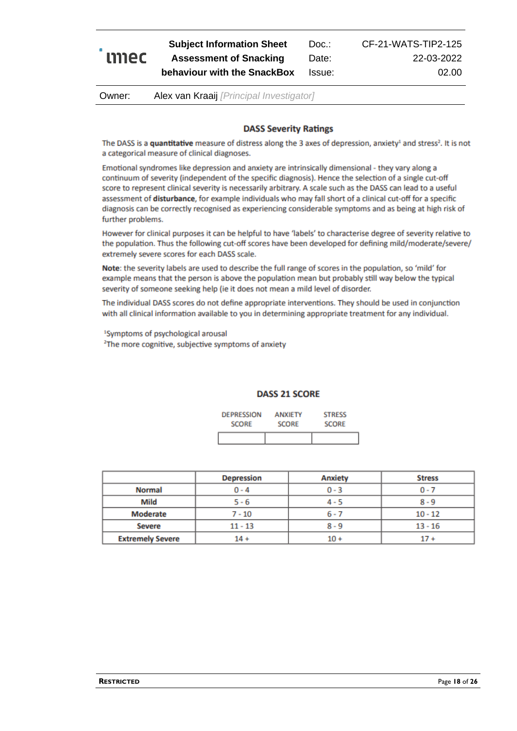

CF-21-WATS-TIP2-125 22-03-2022 02.00

Owner: Alex van Kraaij *[Principal Investigator]*

#### **DASS Severity Ratings**

The DASS is a quantitative measure of distress along the 3 axes of depression, anxiety<sup>1</sup> and stress<sup>2</sup>. It is not a categorical measure of clinical diagnoses.

Emotional syndromes like depression and anxiety are intrinsically dimensional - they vary along a continuum of severity (independent of the specific diagnosis). Hence the selection of a single cut-off score to represent clinical severity is necessarily arbitrary. A scale such as the DASS can lead to a useful assessment of disturbance, for example individuals who may fall short of a clinical cut-off for a specific diagnosis can be correctly recognised as experiencing considerable symptoms and as being at high risk of further problems.

However for clinical purposes it can be helpful to have 'labels' to characterise degree of severity relative to the population. Thus the following cut-off scores have been developed for defining mild/moderate/severe/ extremely severe scores for each DASS scale.

Note: the severity labels are used to describe the full range of scores in the population, so 'mild' for example means that the person is above the population mean but probably still way below the typical severity of someone seeking help (ie it does not mean a mild level of disorder.

The individual DASS scores do not define appropriate interventions. They should be used in conjunction with all clinical information available to you in determining appropriate treatment for any individual.

<sup>1</sup>Symptoms of psychological arousal <sup>2</sup>The more cognitive, subjective symptoms of anxiety

#### **DASS 21 SCORE**

| <b>DEPRESSION</b> | <b>ANXIETY</b> | <b>STRESS</b> |  |
|-------------------|----------------|---------------|--|
| <b>SCORE</b>      | <b>SCORE</b>   | <b>SCORE</b>  |  |
|                   |                |               |  |

|                         | <b>Depression</b> | Anxiety | <b>Stress</b> |
|-------------------------|-------------------|---------|---------------|
| <b>Normal</b>           | $0 - 4$           | $0 - 3$ | $0 - 7$       |
| Mild                    | $5 - 6$           | $4 - 5$ | $8 - 9$       |
| Moderate                | $7 - 10$          | $6 - 7$ | $10 - 12$     |
| <b>Severe</b>           | $11 - 13$         | $8 - 9$ | $13 - 16$     |
| <b>Extremely Severe</b> | 14 +              | $10+$   | 17 +          |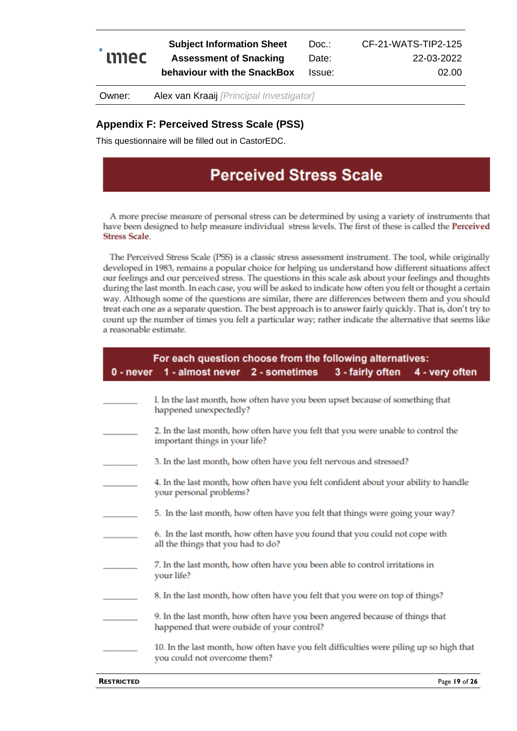

Doc.: Date: Issue: CF-21-WATS-TIP2-125 22-03-2022 02.00

Owner: Alex van Kraaij *[Principal Investigator]*

### **Appendix F: Perceived Stress Scale (PSS)**

This questionnaire will be filled out in CastorEDC.

# **Perceived Stress Scale**

A more precise measure of personal stress can be determined by using a variety of instruments that have been designed to help measure individual stress levels. The first of these is called the Perceived **Stress Scale.** 

The Perceived Stress Scale (PSS) is a classic stress assessment instrument. The tool, while originally developed in 1983, remains a popular choice for helping us understand how different situations affect our feelings and our perceived stress. The questions in this scale ask about your feelings and thoughts during the last month. In each case, you will be asked to indicate how often you felt or thought a certain way. Although some of the questions are similar, there are differences between them and you should treat each one as a separate question. The best approach is to answer fairly quickly. That is, don't try to count up the number of times you felt a particular way; rather indicate the alternative that seems like a reasonable estimate.

| For each question choose from the following alternatives:<br>0 - never 1 - almost never 2 - sometimes<br>3 - fairly often<br>4 - very often |
|---------------------------------------------------------------------------------------------------------------------------------------------|
| I. In the last month, how often have you been upset because of something that<br>happened unexpectedly?                                     |
| 2. In the last month, how often have you felt that you were unable to control the<br>important things in your life?                         |
| 3. In the last month, how often have you felt nervous and stressed?                                                                         |
| 4. In the last month, how often have you felt confident about your ability to handle<br>your personal problems?                             |
| 5. In the last month, how often have you felt that things were going your way?                                                              |
| 6. In the last month, how often have you found that you could not cope with<br>all the things that you had to do?                           |
| 7. In the last month, how often have you been able to control irritations in<br>your life?                                                  |
| 8. In the last month, how often have you felt that you were on top of things?                                                               |
| 9. In the last month, how often have you been angered because of things that<br>happened that were outside of your control?                 |
| 10. In the last month, how often have you felt difficulties were piling up so high that<br>you could not overcome them?                     |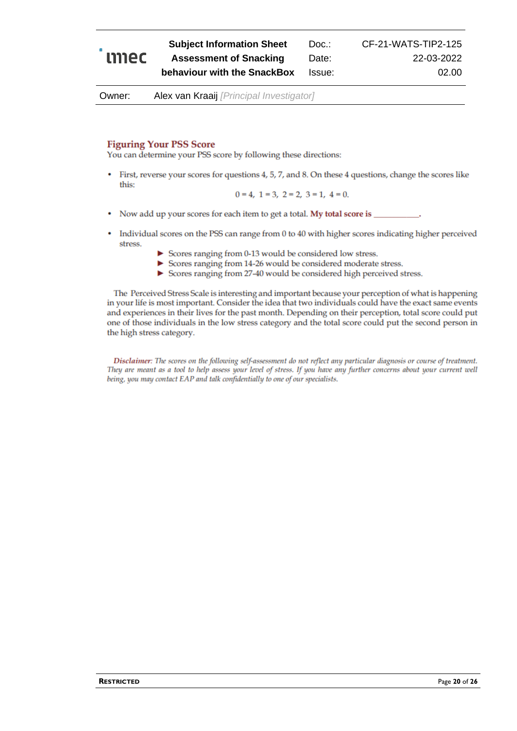Doc.: Date: Issue:

Owner: Alex van Kraaij *[Principal Investigator]*

#### **Figuring Your PSS Score**

You can determine your PSS score by following these directions:

First, reverse your scores for questions 4, 5, 7, and 8. On these 4 questions, change the scores like  $\bullet$ this:

$$
0 = 4, 1 = 3, 2 = 2, 3 = 1, 4 = 0.
$$

- Now add up your scores for each item to get a total. My total score is \_  $\bullet$
- $\bullet$ Individual scores on the PSS can range from 0 to 40 with higher scores indicating higher perceived stress.
	- Scores ranging from 0-13 would be considered low stress.
	- Scores ranging from 14-26 would be considered moderate stress.
	- Scores ranging from 27-40 would be considered high perceived stress.

The Perceived Stress Scale is interesting and important because your perception of what is happening in your life is most important. Consider the idea that two individuals could have the exact same events and experiences in their lives for the past month. Depending on their perception, total score could put one of those individuals in the low stress category and the total score could put the second person in the high stress category.

Disclaimer: The scores on the following self-assessment do not reflect any particular diagnosis or course of treatment. They are meant as a tool to help assess your level of stress. If you have any further concerns about your current well being, you may contact EAP and talk confidentially to one of our specialists.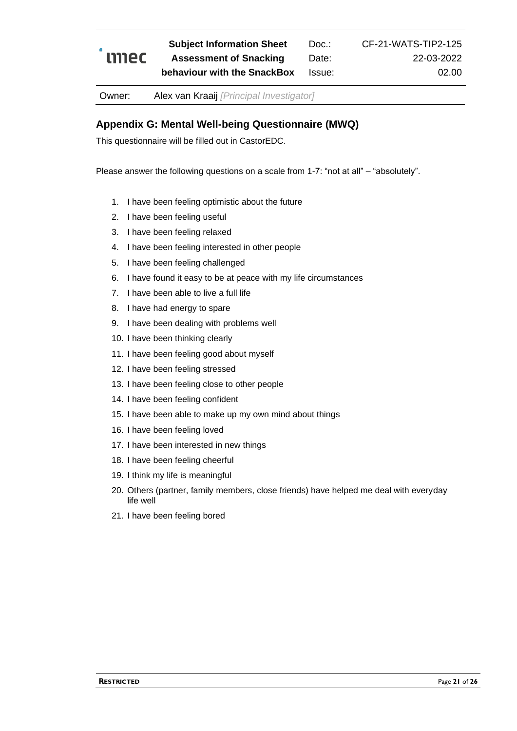

CF-21-WATS-TIP2-125 22-03-2022 02.00

Owner: Alex van Kraaij *[Principal Investigator]*

#### **Appendix G: Mental Well-being Questionnaire (MWQ)**

This questionnaire will be filled out in CastorEDC.

Please answer the following questions on a scale from 1-7: "not at all" – "absolutely".

- 1. I have been feeling optimistic about the future
- 2. I have been feeling useful
- 3. I have been feeling relaxed
- 4. I have been feeling interested in other people
- 5. I have been feeling challenged
- 6. I have found it easy to be at peace with my life circumstances
- 7. I have been able to live a full life
- 8. I have had energy to spare
- 9. I have been dealing with problems well
- 10. I have been thinking clearly
- 11. I have been feeling good about myself
- 12. I have been feeling stressed
- 13. I have been feeling close to other people
- 14. I have been feeling confident
- 15. I have been able to make up my own mind about things
- 16. I have been feeling loved
- 17. I have been interested in new things
- 18. I have been feeling cheerful
- 19. I think my life is meaningful
- 20. Others (partner, family members, close friends) have helped me deal with everyday life well
- 21. I have been feeling bored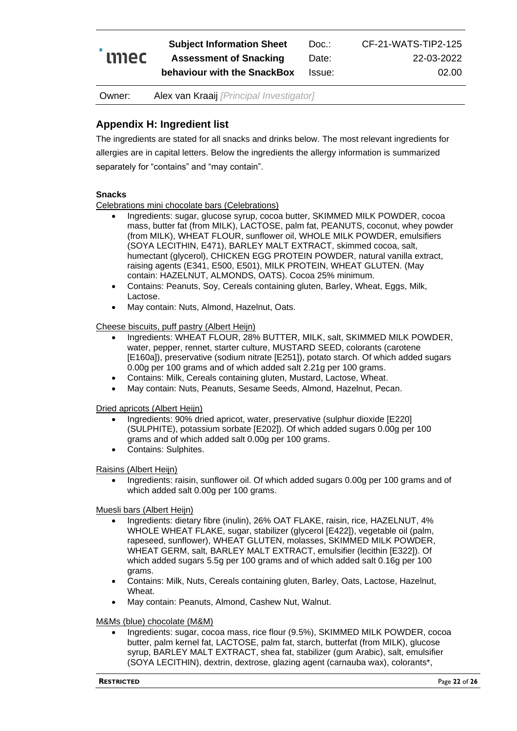

Doc.: Date: Issue: CF-21-WATS-TIP2-125 22-03-2022 02.00

Owner: Alex van Kraaij *[Principal Investigator]*

# **Appendix H: Ingredient list**

The ingredients are stated for all snacks and drinks below. The most relevant ingredients for allergies are in capital letters. Below the ingredients the allergy information is summarized separately for "contains" and "may contain".

#### **Snacks**

Celebrations mini chocolate bars (Celebrations)

- Ingredients: sugar, glucose syrup, cocoa butter, SKIMMED MILK POWDER, cocoa mass, butter fat (from MILK), LACTOSE, palm fat, PEANUTS, coconut, whey powder (from MILK), WHEAT FLOUR, sunflower oil, WHOLE MILK POWDER, emulsifiers (SOYA LECITHIN, E471), BARLEY MALT EXTRACT, skimmed cocoa, salt, humectant (glycerol), CHICKEN EGG PROTEIN POWDER, natural vanilla extract, raising agents (E341, E500, E501), MILK PROTEIN, WHEAT GLUTEN. (May contain: HAZELNUT, ALMONDS, OATS). Cocoa 25% minimum.
- Contains: Peanuts, Soy, Cereals containing gluten, Barley, Wheat, Eggs, Milk, Lactose.
- May contain: Nuts, Almond, Hazelnut, Oats.

#### Cheese biscuits, puff pastry (Albert Heijn)

- Ingredients: WHEAT FLOUR, 28% BUTTER, MILK, salt, SKIMMED MILK POWDER, water, pepper, rennet, starter culture, MUSTARD SEED, colorants (carotene [E160a]), preservative (sodium nitrate [E251]), potato starch. Of which added sugars 0.00g per 100 grams and of which added salt 2.21g per 100 grams.
- Contains: Milk, Cereals containing gluten, Mustard, Lactose, Wheat.
- May contain: Nuts, Peanuts, Sesame Seeds, Almond, Hazelnut, Pecan.

Dried apricots (Albert Heijn)

- Ingredients: 90% dried apricot, water, preservative (sulphur dioxide [E220] (SULPHITE), potassium sorbate [E202]). Of which added sugars 0.00g per 100 grams and of which added salt 0.00g per 100 grams.
- Contains: Sulphites.

Raisins (Albert Heijn)

• Ingredients: raisin, sunflower oil. Of which added sugars 0.00g per 100 grams and of which added salt 0.00g per 100 grams.

Muesli bars (Albert Heijn)

- Ingredients: dietary fibre (inulin), 26% OAT FLAKE, raisin, rice, HAZELNUT, 4% WHOLE WHEAT FLAKE, sugar, stabilizer (glycerol [E422]), vegetable oil (palm, rapeseed, sunflower), WHEAT GLUTEN, molasses, SKIMMED MILK POWDER, WHEAT GERM, salt, BARLEY MALT EXTRACT, emulsifier (lecithin [E322]). Of which added sugars 5.5g per 100 grams and of which added salt 0.16g per 100 grams.
- Contains: Milk, Nuts, Cereals containing gluten, Barley, Oats, Lactose, Hazelnut, Wheat.
- May contain: Peanuts, Almond, Cashew Nut, Walnut.

#### M&Ms (blue) chocolate (M&M)

• Ingredients: sugar, cocoa mass, rice flour (9.5%), SKIMMED MILK POWDER, cocoa butter, palm kernel fat, LACTOSE, palm fat, starch, butterfat (from MILK), glucose syrup, BARLEY MALT EXTRACT, shea fat, stabilizer (gum Arabic), salt, emulsifier (SOYA LECITHIN), dextrin, dextrose, glazing agent (carnauba wax), colorants\*,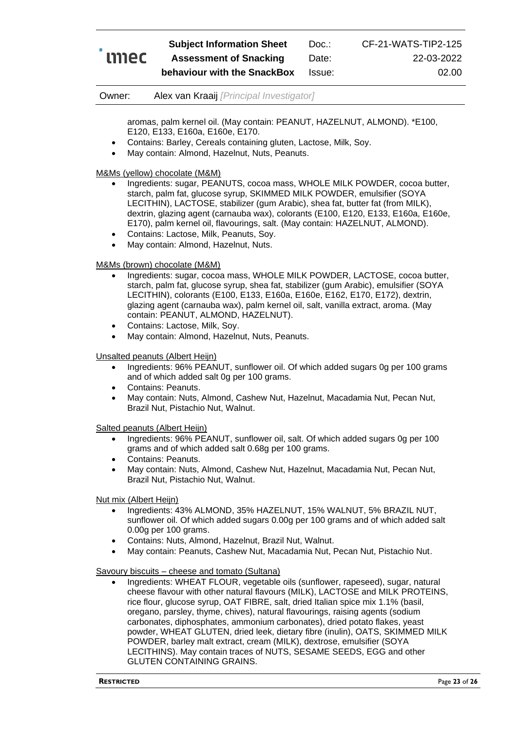Owner: Alex van Kraaij *[Principal Investigator]*

aromas, palm kernel oil. (May contain: PEANUT, HAZELNUT, ALMOND). \*E100, E120, E133, E160a, E160e, E170.

- Contains: Barley, Cereals containing gluten, Lactose, Milk, Soy.
- May contain: Almond, Hazelnut, Nuts, Peanuts.

M&Ms (yellow) chocolate (M&M)

- Ingredients: sugar, PEANUTS, cocoa mass, WHOLE MILK POWDER, cocoa butter, starch, palm fat, glucose syrup, SKIMMED MILK POWDER, emulsifier (SOYA LECITHIN), LACTOSE, stabilizer (gum Arabic), shea fat, butter fat (from MILK), dextrin, glazing agent (carnauba wax), colorants (E100, E120, E133, E160a, E160e, E170), palm kernel oil, flavourings, salt. (May contain: HAZELNUT, ALMOND).
- Contains: Lactose, Milk, Peanuts, Soy.
- May contain: Almond, Hazelnut, Nuts.

#### M&Ms (brown) chocolate (M&M)

- Ingredients: sugar, cocoa mass, WHOLE MILK POWDER, LACTOSE, cocoa butter, starch, palm fat, glucose syrup, shea fat, stabilizer (gum Arabic), emulsifier (SOYA LECITHIN), colorants (E100, E133, E160a, E160e, E162, E170, E172), dextrin, glazing agent (carnauba wax), palm kernel oil, salt, vanilla extract, aroma. (May contain: PEANUT, ALMOND, HAZELNUT).
- Contains: Lactose, Milk, Soy.
- May contain: Almond, Hazelnut, Nuts, Peanuts.

#### Unsalted peanuts (Albert Heijn)

- Ingredients: 96% PEANUT, sunflower oil. Of which added sugars 0g per 100 grams and of which added salt 0g per 100 grams.
- Contains: Peanuts.
- May contain: Nuts, Almond, Cashew Nut, Hazelnut, Macadamia Nut, Pecan Nut, Brazil Nut, Pistachio Nut, Walnut.

Salted peanuts (Albert Heijn)

- Ingredients: 96% PEANUT, sunflower oil, salt. Of which added sugars 0g per 100 grams and of which added salt 0.68g per 100 grams.
- Contains: Peanuts.
- May contain: Nuts, Almond, Cashew Nut, Hazelnut, Macadamia Nut, Pecan Nut, Brazil Nut, Pistachio Nut, Walnut.

Nut mix (Albert Heijn)

- Ingredients: 43% ALMOND, 35% HAZELNUT, 15% WALNUT, 5% BRAZIL NUT, sunflower oil. Of which added sugars 0.00g per 100 grams and of which added salt 0.00g per 100 grams.
- Contains: Nuts, Almond, Hazelnut, Brazil Nut, Walnut.
- May contain: Peanuts, Cashew Nut, Macadamia Nut, Pecan Nut, Pistachio Nut.

#### Savoury biscuits – cheese and tomato (Sultana)

• Ingredients: WHEAT FLOUR, vegetable oils (sunflower, rapeseed), sugar, natural cheese flavour with other natural flavours (MILK), LACTOSE and MILK PROTEINS, rice flour, glucose syrup, OAT FIBRE, salt, dried Italian spice mix 1.1% (basil, oregano, parsley, thyme, chives), natural flavourings, raising agents (sodium carbonates, diphosphates, ammonium carbonates), dried potato flakes, yeast powder, WHEAT GLUTEN, dried leek, dietary fibre (inulin), OATS, SKIMMED MILK POWDER, barley malt extract, cream (MILK), dextrose, emulsifier (SOYA LECITHINS). May contain traces of NUTS, SESAME SEEDS, EGG and other GLUTEN CONTAINING GRAINS.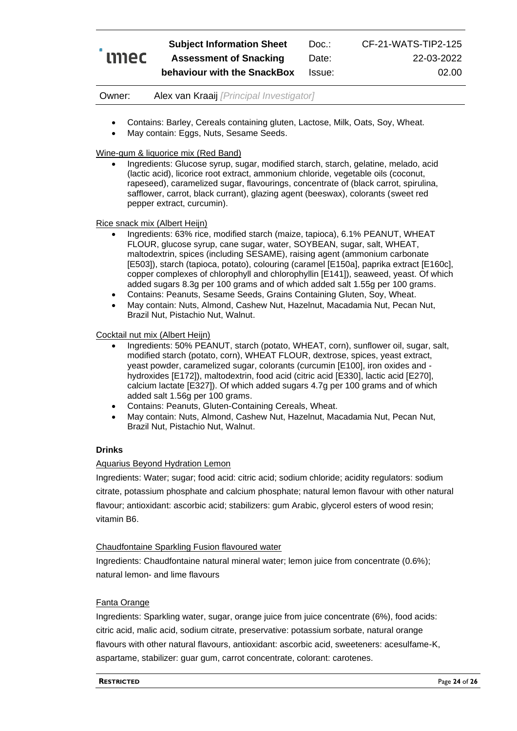CF-21-WATS-TIP2-125 22-03-2022 02.00

Owner: Alex van Kraaij *[Principal Investigator]*

- Contains: Barley, Cereals containing gluten, Lactose, Milk, Oats, Soy, Wheat.
- May contain: Eggs, Nuts, Sesame Seeds.

Wine-gum & liquorice mix (Red Band)

• Ingredients: Glucose syrup, sugar, modified starch, starch, gelatine, melado, acid (lactic acid), licorice root extract, ammonium chloride, vegetable oils (coconut, rapeseed), caramelized sugar, flavourings, concentrate of (black carrot, spirulina, safflower, carrot, black currant), glazing agent (beeswax), colorants (sweet red pepper extract, curcumin).

Rice snack mix (Albert Heijn)

- Ingredients: 63% rice, modified starch (maize, tapioca), 6.1% PEANUT, WHEAT FLOUR, glucose syrup, cane sugar, water, SOYBEAN, sugar, salt, WHEAT, maltodextrin, spices (including SESAME), raising agent (ammonium carbonate [E503]), starch (tapioca, potato), colouring (caramel [E150a], paprika extract [E160c], copper complexes of chlorophyll and chlorophyllin [E141]), seaweed, yeast. Of which added sugars 8.3g per 100 grams and of which added salt 1.55g per 100 grams.
- Contains: Peanuts, Sesame Seeds, Grains Containing Gluten, Soy, Wheat.
- May contain: Nuts, Almond, Cashew Nut, Hazelnut, Macadamia Nut, Pecan Nut, Brazil Nut, Pistachio Nut, Walnut.

Cocktail nut mix (Albert Heijn)

- Ingredients: 50% PEANUT, starch (potato, WHEAT, corn), sunflower oil, sugar, salt, modified starch (potato, corn), WHEAT FLOUR, dextrose, spices, yeast extract, yeast powder, caramelized sugar, colorants (curcumin [E100], iron oxides and hydroxides [E172]), maltodextrin, food acid (citric acid [E330], lactic acid [E270], calcium lactate [E327]). Of which added sugars 4.7g per 100 grams and of which added salt 1.56g per 100 grams.
- Contains: Peanuts, Gluten-Containing Cereals, Wheat.
- May contain: Nuts, Almond, Cashew Nut, Hazelnut, Macadamia Nut, Pecan Nut, Brazil Nut, Pistachio Nut, Walnut.

#### **Drinks**

#### Aquarius Beyond Hydration Lemon

Ingredients: Water; sugar; food acid: citric acid; sodium chloride; acidity regulators: sodium citrate, potassium phosphate and calcium phosphate; natural lemon flavour with other natural flavour; antioxidant: ascorbic acid; stabilizers: gum Arabic, glycerol esters of wood resin; vitamin B6.

#### Chaudfontaine Sparkling Fusion flavoured water

Ingredients: Chaudfontaine natural mineral water; lemon juice from concentrate (0.6%); natural lemon- and lime flavours

#### Fanta Orange

Ingredients: Sparkling water, sugar, orange juice from juice concentrate (6%), food acids: citric acid, malic acid, sodium citrate, preservative: potassium sorbate, natural orange flavours with other natural flavours, antioxidant: ascorbic acid, sweeteners: acesulfame-K, aspartame, stabilizer: guar gum, carrot concentrate, colorant: carotenes.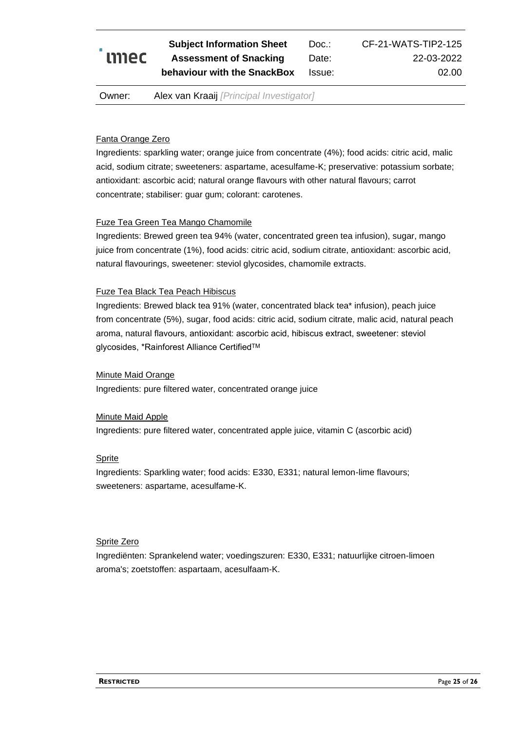# umec

**Subject Information Sheet Assessment of Snacking behaviour with the SnackBox**

Doc.: Date: Issue:

Owner: Alex van Kraaij *[Principal Investigator]*

#### Fanta Orange Zero

Ingredients: sparkling water; orange juice from concentrate (4%); food acids: citric acid, malic acid, sodium citrate; sweeteners: aspartame, acesulfame-K; preservative: potassium sorbate; antioxidant: ascorbic acid; natural orange flavours with other natural flavours; carrot concentrate; stabiliser: guar gum; colorant: carotenes.

#### Fuze Tea Green Tea Mango Chamomile

Ingredients: Brewed green tea 94% (water, concentrated green tea infusion), sugar, mango juice from concentrate (1%), food acids: citric acid, sodium citrate, antioxidant: ascorbic acid, natural flavourings, sweetener: steviol glycosides, chamomile extracts.

#### Fuze Tea Black Tea Peach Hibiscus

Ingredients: Brewed black tea 91% (water, concentrated black tea\* infusion), peach juice from concentrate (5%), sugar, food acids: citric acid, sodium citrate, malic acid, natural peach aroma, natural flavours, antioxidant: ascorbic acid, hibiscus extract, sweetener: steviol glycosides, \*Rainforest Alliance Certified™

#### Minute Maid Orange

Ingredients: pure filtered water, concentrated orange juice

#### Minute Maid Apple

Ingredients: pure filtered water, concentrated apple juice, vitamin C (ascorbic acid)

#### Sprite

Ingredients: Sparkling water; food acids: E330, E331; natural lemon-lime flavours; sweeteners: aspartame, acesulfame-K.

#### Sprite Zero

Ingrediënten: Sprankelend water; voedingszuren: E330, E331; natuurlijke citroen-limoen aroma's; zoetstoffen: aspartaam, acesulfaam-K.